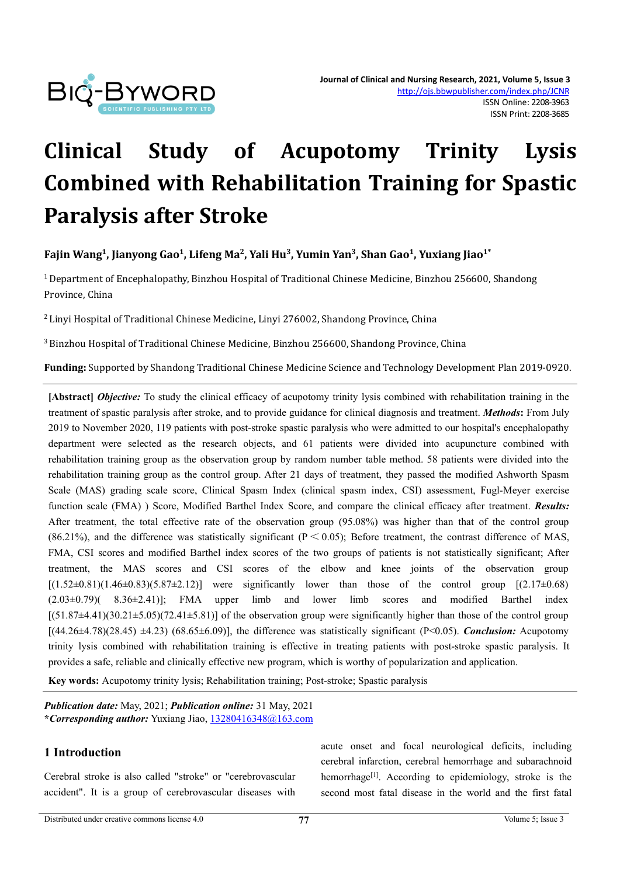

# **Clinical Study of Acupotomy Trinity Lysis Combined with Rehabilitation Training for Spastic Paralysis after Stroke**

# Fajin Wang<sup>1</sup>, Jianyong Gao<sup>1</sup>, Lifeng Ma<sup>2</sup>, Yali Hu<sup>3</sup>, Yumin Yan<sup>3</sup>, Shan Gao<sup>1</sup>, Yuxiang Jiao<sup>1\*</sup>

<sup>1</sup> Department of Encephalopathy, Binzhou Hospital of Traditional Chinese Medicine, Binzhou 256600, Shandong Province, China

<sup>2</sup> Linyi Hospital of Traditional Chinese Medicine, Linyi 276002, Shandong Province, China

<sup>3</sup> Binzhou Hospital of Traditional Chinese Medicine, Binzhou 256600, Shandong Province, China

**Funding:** Supported by Shandong Traditional Chinese Medicine Science and Technology Development Plan 2019-0920.

**[Abstract]** *Objective:* To study the clinical efficacy of acupotomy trinity lysis combined with rehabilitation training in the treatment of spastic paralysis after stroke, and to provide guidance for clinical diagnosis and treatment. *Methods***:** From July 2019 to November 2020, 119 patients with post-stroke spastic paralysis who were admitted to our hospital's encephalopathy department were selected as the research objects, and 61 patients were divided into acupuncture combined with rehabilitation training group as the observation group by random number table method.58 patients were divided into the rehabilitation training group as the control group. After 21 days of treatment, they passed the modified Ashworth Spasm Scale (MAS) grading scale score, Clinical Spasm Index (clinical spasm index, CSI) assessment, Fugl-Meyer exercise function scale (FMA) ) Score, Modified Barthel Index Score, and compare the clinical efficacy after treatment. *Results:* After treatment, the total effective rate of the observation group (95.08%) was higher than that of the control group (86.21%), and the difference was statistically significant ( $P \le 0.05$ ); Before treatment, the contrast difference of MAS, FMA, CSI scores and modified Barthel index scores of the two groups of patients is not statistically significant; After treatment, the MAS scores and CSI scores of the elbow and knee joints of the observation group  $[(1.52\pm0.81)(1.46\pm0.83)(5.87\pm2.12)]$  were significantly lower than those of the control group  $[(2.17\pm0.68)]$  $(2.03\pm0.79)$   $(8.36\pm2.41)$ ; FMA upper limb and lower limb scores and modified Barthel index  $[(51.87\pm4.41)(30.21\pm5.05)(72.41\pm5.81)]$  of the observation group were significantly higher than those of the control group  $[(44.26\pm4.78)(28.45) \pm4.23)$  (68.65 $\pm$ 6.09)], the difference was statistically significant (P<0.05). *Conclusion:* Acupotomy trinity lysis combined with rehabilitation training is effective in treating patients with post-stroke spastic paralysis. It provides a safe, reliable and clinically effective new program, which is worthy of popularization and application.

**Key words:**Acupotomy trinity lysis; Rehabilitation training; Post-stroke; Spastic paralysis

*Publication date:* May, 2021; *Publication online:* 31 May, 2021 **\****Corresponding author:* Yuxiang Jiao, [13280416348@163.com](mailto:13280416348@163.com)

# **1 Introduction**

Cerebral stroke is also called "stroke" or "cerebrovascular accident". It is a group of cerebrovascular diseases with acute onset and focal neurological deficits, including cerebral infarction, cerebral hemorrhage and subarachnoid hemorrhage<sup>[1]</sup>. According to epidemiology, stroke is the second most fatal disease in the world and the first fatal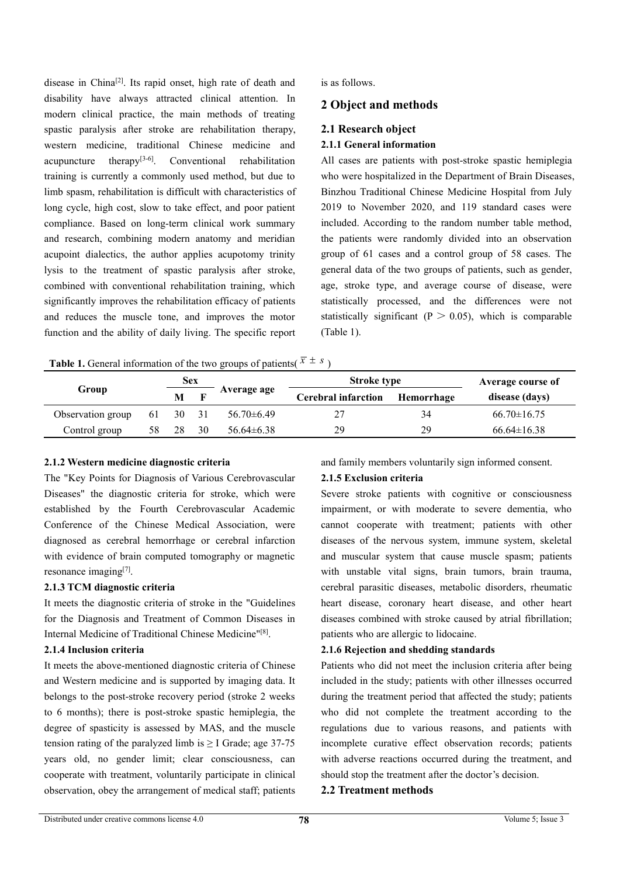disease in China<sup>[2]</sup>. Its rapid onset, high rate of death and is as follows. disability have always attracted clinical attention. In modern clinical practice, the main methods of treating spastic paralysis after stroke are rehabilitation therapy, western medicine, traditional Chinese medicine and acupuncture therapy<sup>[3-6]</sup>. Conventional rehabilitation All cases are pa training is currently a commonly used method, but due to limb spasm, rehabilitation is difficult with characteristics of long cycle, high cost, slow to take effect, and poor patient compliance. Based on long-term clinical work summary included. According to the random number table method, and research, combining modern anatomy and meridian acupoint dialectics, the author applies acupotomy trinity lysis to the treatment of spastic paralysis after stroke, combined with conventional rehabilitation training, which significantly improves the rehabilitation efficacy of patients and reduces the muscle tone, and improves the motor function and the ability of daily living. The specific report

is as follows.

## **2 Objectand methods**

### **2.1 Research object**

#### **2.1.1 General information**

All cases are patients with post-stroke spastic hemiplegia who were hospitalized in the Department of Brain Diseases, Binzhou Traditional Chinese Medicine Hospital from July 2019 to November 2020, and 119 standard cases were the patients were randomly divided into an observation group of 61 cases and a controlgroup of 58 cases. The general data of the two groups of patients, such as gender, age, stroke type, and average course of disease, were statistically processed, and the differences were not statistically significant ( $P > 0.05$ ), which is comparable (Table 1).

**Table 1.** General information of the two groups of patients( $\overline{x} \pm s$ )  $)$ 

|                   | Sex<br>Group |    |    |                 | <b>Stroke type</b>         | Average course of |                   |
|-------------------|--------------|----|----|-----------------|----------------------------|-------------------|-------------------|
|                   |              |    |    | Average age     | <b>Cerebral infarction</b> | Hemorrhage        | disease (days)    |
| Observation group | -61          | 30 |    | $56.70\pm 6.49$ |                            | 34                | $66.70 \pm 16.75$ |
| Control group     | 58           | 28 | 30 | $56.64\pm 6.38$ | 29                         | 29                | $66.64 \pm 16.38$ |

#### **2.1.2 Western medicine diagnostic criteria**

The "Key Points for Diagnosis of Various Cerebrovascular Diseases" the diagnostic criteria for stroke, which were established by the Fourth Cerebrovascular Academic Conference of the Chinese Medical Association, were diagnosed as cerebral hemorrhage or cerebral infarction with evidence of brain computed tomography or magnetic resonance imaging<sup>[7]</sup>.

#### **2.1.3 TCM diagnostic criteria**

It meets the diagnostic criteria of stroke in the "Guidelines for the Diagnosis and Treatment of Common Diseases in Internal Medicine of Traditional Chinese Medicine" [8].

#### **2.1.4 Inclusion criteria**

It meets the above-mentioned diagnostic criteria of Chinese and Western medicine and is supported by imaging data. It belongs to the post-stroke recovery period (stroke 2 weeks to 6 months); there is post-stroke spastic hemiplegia, the degree of spasticity is assessed by MAS, and the muscle tension rating of the paralyzed limb is  $\geq$  I Grade; age 37-75 years old, no gender limit; clear consciousness, can cooperate with treatment, voluntarily participate in clinical observation, obey the arrangement of medical staff; patients and family members voluntarily sign informed consent.

#### **2.1.5 Exclusion criteria**

Severe stroke patients with cognitive or consciousness impairment, or with moderate to severe dementia, who cannot cooperate with treatment; patients with other diseases of the nervous system, immune system, skeletal and muscular system that cause muscle spasm; patients with unstable vital signs, brain tumors, brain trauma, cerebral parasitic diseases, metabolic disorders, rheumatic heart disease, coronary heart disease, and other heart diseases combined with stroke caused by atrial fibrillation; patients who are allergic to lidocaine.

#### **2.1.6 Rejection and shedding standards**

Patients who did not meet the inclusion criteria after being included in the study; patients with other illnesses occurred during the treatment period that affected the study; patients who did not complete the treatment according to the regulations due to various reasons, and patients with incomplete curative effect observation records; patients with adverse reactions occurred during the treatment, and should stop the treatment after the doctor's decision.

#### **2.2 Treatment methods**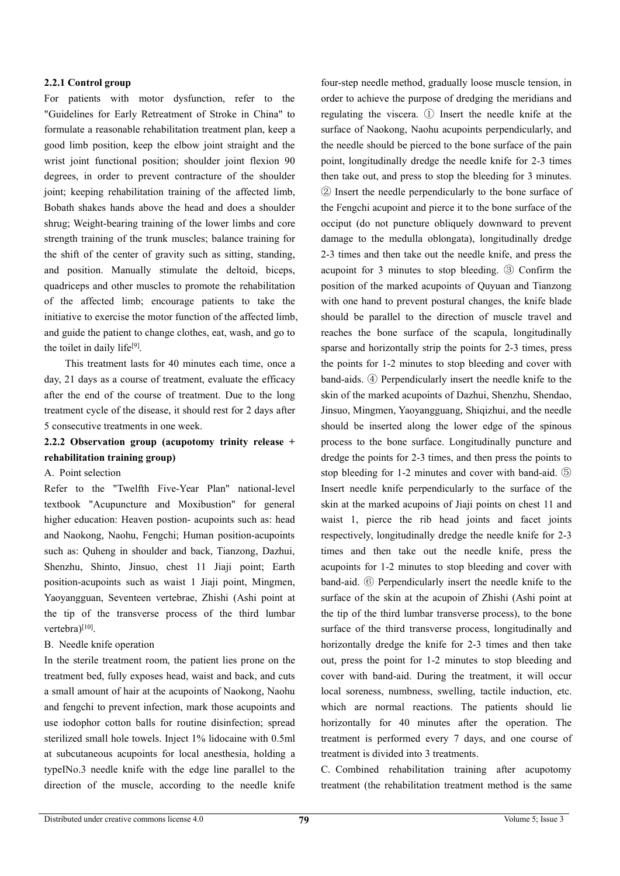#### **2.2.1 Control group**

For patients with motor dysfunction, refer to the "Guidelines for Early Retreatment of Stroke in China" to formulate a reasonable rehabilitation treatment plan, keep a good limb position, keep the elbow joint straight and the wrist joint functional position; shoulder joint flexion 90 degrees, in order to prevent contracture of the shoulder joint; keeping rehabilitation training of the affected limb, Bobath shakes hands above the head and does a shoulder shrug; Weight-bearing training of the lower limbs and core strength training of the trunk muscles; balance training for the shift of the center of gravity such as sitting, standing, and position. Manually stimulate the deltoid, biceps, quadriceps and other muscles to promote the rehabilitation of the affected limb; encourage patients to take the initiative to exercise the motor function of the affected limb, and guide the patient to change clothes, eat, wash, and go to the toilet in daily life [9].

This treatment lasts for 40 minutes each time, once a day, 21 days as a course of treatment, evaluate the efficacy after the end of the course of treatment. Due to the long treatment cycle of the disease, it should rest for 2 days after 5 consecutive treatments in one week.

# **2.2.2 Observation group (acupotomy trinity release + rehabilitation training group)**

#### A. Point selection

Refer to the "Twelfth Five-Year Plan" national-level textbook "Acupuncture and Moxibustion" for general higher education: Heaven postion- acupoints such as: head and Naokong, Naohu, Fengchi; Human position-acupoints such as: Quheng in shoulder and back, Tianzong, Dazhui, Shenzhu, Shinto, Jinsuo, chest 11 Jiaji point; Earth position-acupoints such as waist 1 Jiaji point, Mingmen, Yaoyangguan, Seventeen vertebrae, Zhishi (Ashi point at the tip of the transverse process of the third lumbar vertebra)<sup>[10]</sup>.

#### B. Needle knife operation

In the sterile treatment room, the patient lies prone on the treatment bed, fully exposes head, waist and back, and cuts a small amount of hair at the acupoints of Naokong, Naohu and fengchi to prevent infection, mark those acupoints and use iodophor cotton balls for routine disinfection; spread sterilized small hole towels. Inject 1% lidocaine with 0.5ml at subcutaneous acupoints for local anesthesia, holding a typeⅠNo.3 needle knife with the edge line parallel to the direction of the muscle, according to the needle knife

four-step needle method, gradually loose muscle tension, in order to achieve the purpose of dredging the meridians and regulating the viscera. ① Insert the needle knife at the surface of Naokong, Naohu acupoints perpendicularly, and the needle should be pierced to the bone surface of the pain point, longitudinally dredge the needle knife for 2-3 times then take out, and press to stop the bleeding for 3 minutes. ② Insert the needle perpendicularly to the bone surface of the Fengchi acupoint and pierce it to the bone surface of the occiput (do not puncture obliquely downward to prevent damage to the medulla oblongata), longitudinally dredge 2-3 times and then take out the needle knife, and press the acupoint for 3 minutes to stop bleeding. ③ Confirm the position of the marked acupoints of Quyuan and Tianzong with one hand to prevent postural changes, the knife blade should be parallel to the direction of muscle travel and reaches the bone surface of the scapula, longitudinally sparse and horizontally strip the points for 2-3 times, press the points for 1-2 minutes to stop bleeding and cover with band-aids. ④ Perpendicularly insert the needle knife to the skin of the marked acupoints of Dazhui, Shenzhu, Shendao, Jinsuo, Mingmen, Yaoyangguang, Shiqizhui, and the needle should be inserted along the lower edge of the spinous process to the bone surface. Longitudinally puncture and dredge the points for 2-3 times, and then press the points to stop bleeding for 1-2 minutes and cover with band-aid. ⑤ Insert needle knife perpendicularly to the surface of the skin at the marked acupoins of Jiaji points on chest 11 and waist 1, pierce the rib head joints and facet joints respectively, longitudinally dredge the needle knife for 2-3 times and then take out the needle knife, press the acupoints for 1-2 minutes to stop bleeding and cover with band-aid. ⑥ Perpendicularly insert the needle knife to the surface of the skin at the acupoin of Zhishi (Ashi point at the tip of the third lumbar transverse process), to the bone surface of the third transverse process, longitudinally and horizontally dredge the knife for 2-3 times and then take out, press the point for 1-2 minutes to stop bleeding and cover with band-aid. During the treatment, it will occur local soreness, numbness, swelling, tactile induction, etc. which are normal reactions. The patients should lie horizontally for 40 minutes after the operation. The treatment is performed every 7 days, and one course of treatment is divided into 3 treatments.

C. Combined rehabilitation training after acupotomy treatment (the rehabilitation treatment method is the same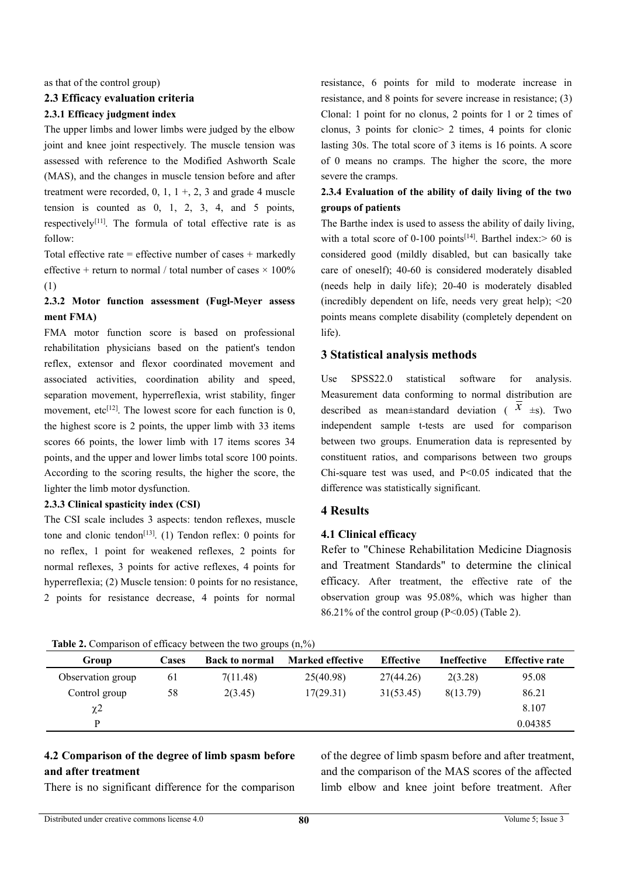as that of the control group)

#### **2.3 Efficacy evaluation criteria**

#### **2.3.1 Efficacy judgment index**

The upper limbs and lower limbs were judged by the elbow joint and knee joint respectively. The muscle tension was assessed with reference to the Modified Ashworth Scale (MAS), and the changes in muscle tension before and after treatment were recorded,  $0, 1, 1 +$ ,  $2, 3$  and grade 4 muscle tension is counted as 0, 1, 2, 3, 4, and 5 points, respectively<sup>[11]</sup>. The formula of total effective rate is as The Barthe i follow:

Total effective rate = effective number of cases  $+$  markedly effective + return to normal / total number of cases  $\times$  100% (1)

## **2.3.2 Motor function assessment (Fugl-Meyer assess ment FMA)**

FMA motor function score is based on professional rehabilitation physicians based on the patient's tendon reflex, extensor and flexor coordinated movement and associated activities, coordination ability and speed, Use SPSS22.0 separation movement, hyperreflexia, wrist stability, finger movement, etc<sup>[12]</sup>. The lowest score for each function is 0, described a the highest score is 2 points, the upper limb with 33 items scores 66 points, the lower limb with 17 items scores 34 points, and the upper and lower limbs total score 100 points. According to the scoring results, the higher the score, the lighter the limb motor dysfunction.

#### **2.3.3 Clinical spasticity index (CSI)**

The CSI scale includes 3 aspects: tendon reflexes, muscle tone and clonic tendon<sup>[13]</sup>. (1) Tendon reflex: 0 points for  $\overline{a}$  4.1 Clin no reflex, 1 point for weakened reflexes, 2 points for normal reflexes, 3 points for active reflexes, 4 points for hyperreflexia; (2) Muscle tension: 0 points for no resistance, 2 points for resistance decrease, 4 points for normal

resistance, 6 points for mild to moderate increase in resistance, and 8 points for severe increase in resistance; (3) Clonal: 1 point for no clonus, 2 points for 1 or 2 times of clonus, 3 points for clonic> 2 times, 4 points for clonic lasting 30s. The total score of 3 items is 16 points. A score of 0 means no cramps. The higher the score, the more severe the cramps.

# **2.3.4 Evaluation of the ability of daily living of the two groups ofpatients**

The Barthe index is used to assess the ability of daily living, with a total score of 0-100 points<sup>[14]</sup>. Barthel index: > 60 is considered good (mildly disabled, but can basically take care of oneself); 40-60 is considered moderately disabled (needs help in daily life); 20-40 is moderately disabled (incredibly dependent on life, needs very great help); <20 points means complete disability (completely dependent on life).

#### **3 Statistical analysis methods**

statistical software for analysis. Measurement data conforming to normal distribution are described as mean $\pm$ standard deviation ( $\overline{x}$   $\pm$ s). Two independent sample t-tests are used for comparison between two groups. Enumeration data is represented by constituent ratios, and comparisons between two groups Chi-square test was used, and  $P < 0.05$  indicated that the difference was statistically significant.

#### **4 Results**

#### **4.1 Clinical efficacy**

Refer to "Chinese Rehabilitation Medicine Diagnosis and Treatment Standards" to determine the clinical efficacy. After treatment, the effective rate of the observation group was 95.08%, which was higher than  $86.21\%$  of the control group (P<0.05) (Table 2).

| <b>Rapic 2.</b> Comparison of chicacy occween the two groups (ii, /0) |       |                       |                         |                  |                    |                       |
|-----------------------------------------------------------------------|-------|-----------------------|-------------------------|------------------|--------------------|-----------------------|
| Group                                                                 | Cases | <b>Back to normal</b> | <b>Marked effective</b> | <b>Effective</b> | <b>Ineffective</b> | <b>Effective rate</b> |
| Observation group                                                     | 61    | 7(11.48)              | 25(40.98)               | 27(44.26)        | 2(3.28)            | 95.08                 |
| Control group                                                         | 58    | 2(3.45)               | 17(29.31)               | 31(53.45)        | 8(13.79)           | 86.21                 |
| $\chi$ 2                                                              |       |                       |                         |                  |                    | 8.107                 |
| D                                                                     |       |                       |                         |                  |                    | 0.04385               |

#### **Table 2.** Comparison of efficacy between the two groups (n, %)

# **4.2 Comparison of the degree of limb spasm before and after treatment**

There is no significant difference for the comparison

of the degree of limb spasm before and after treatment, and the comparison of the MAS scores of the affected limb elbow and knee joint before treatment. After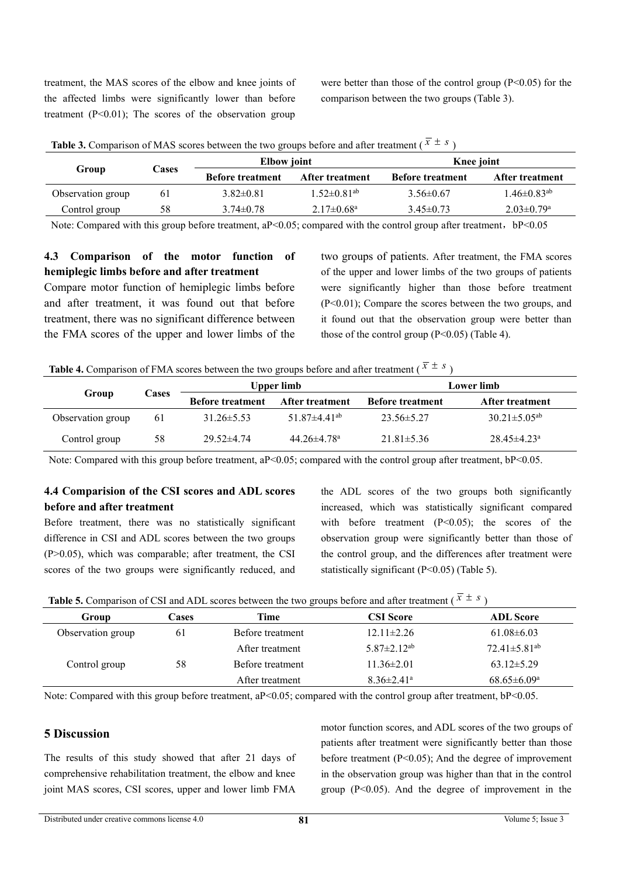treatment, the MAS scores of the elbow and knee joints of the affected limbs were significantly lower than before treatment  $(P<0.01)$ ; The scores of the observation group

were better than those of the control group  $(P<0.05)$  for the comparison between the two groups (Table 3).

|                   |                | <b>Table 3.</b> Comparison of MAS scores between the two groups before and after treatment ( $x \pm s$ ) |                              |                         |                               |
|-------------------|----------------|----------------------------------------------------------------------------------------------------------|------------------------------|-------------------------|-------------------------------|
| Group             | <b>Cases</b>   | <b>Elbow</b> joint                                                                                       |                              | Knee joint              |                               |
|                   |                | <b>Before treatment</b>                                                                                  | After treatment              | <b>Before treatment</b> | <b>After treatment</b>        |
| Observation group | 6 <sub>1</sub> | $3.82 \pm 0.81$                                                                                          | $1.52 \pm 0.81^{\rm ab}$     | $3.56 \pm 0.67$         | $1.46 \pm 0.83$ <sup>ab</sup> |
| Control group     | 58             | $3.74 \pm 0.78$                                                                                          | $2.17 \pm 0.68$ <sup>a</sup> | $3.45 \pm 0.73$         | $2.03 \pm 0.79$ <sup>a</sup>  |

**Table 3.** Comparison of MAS scores between the two groups before and after treatment ( $\overline{x} \pm s$ )

Note: Compared with this group before treatment,  $aP<0.05$ ; compared with the control group after treatment,  $bP<0.05$ 

# **4.3 Comparison of the motor function of hemiplegic limbs before and after treatment**

Compare motor function of hemiplegic limbs before and after treatment, it was found out that before treatment, there was no significant difference between the FMA scores of the upper and lower limbs of the two groups of patients. After treatment, the FMA scores of the upper and lower limbs of the two groups of patients were significantly higher than those before treatment (P<0.01); Compare the scores between the two groups, and it found out that the observation group were better than those of the control group  $(P<0.05)$  (Table 4).

| Group             | Cases |                         | Upper limb                    | Lower limb              |                                |  |
|-------------------|-------|-------------------------|-------------------------------|-------------------------|--------------------------------|--|
|                   |       | <b>Before treatment</b> | <b>After treatment</b>        | <b>Before treatment</b> | <b>After treatment</b>         |  |
| Observation group | 61    | $31.26 \pm 5.53$        | $51.87\pm4.41$ <sup>ab</sup>  | $23.56 \pm 5.27$        | $30.21 \pm 5.05$ <sup>ab</sup> |  |
| Control group     | 58    | $29.52 \pm 4.74$        | $44.26 \pm 4.78$ <sup>a</sup> | $21.81 \pm 5.36$        | $28.45 \pm 4.23$ <sup>a</sup>  |  |

Note: Compared with this group before treatment, aP<0.05; compared with the control group after treatment, bP<0.05.

## **4.4 Comparision of the CSI scores and ADL scores before and after treatment**

Before treatment, there was no statistically significant difference in CSI and ADL scores between the two groups  $(P>0.05)$ , which was comparable; after treatment, the CSI scores of the two groups were significantly reduced, and

the ADL scores of the two groups both significantly increased, which was statistically significant compared with before treatment  $(P<0.05)$ ; the scores of the observation group were significantly better than those of the control group, and the differences after treatment were statistically significant (P<0.05) (Table 5).

**Table 5.** Comparison of CSI and ADL scores between the two groups before and after treatment ( $\bar{x} \pm s$ )

| <b>Table 5.</b> Comparison of CSI and ADL scores between the two groups before and after treatment ( $x \pm s$ ) |       |                  |                               |                                |  |  |
|------------------------------------------------------------------------------------------------------------------|-------|------------------|-------------------------------|--------------------------------|--|--|
| Group                                                                                                            | Cases | Time             | CSI Score                     | <b>ADL</b> Score               |  |  |
| Observation group                                                                                                | 61    | Before treatment | $12.11 \pm 2.26$              | $61.08 \pm 6.03$               |  |  |
|                                                                                                                  |       | After treatment  | $5.87 \pm 2.12$ <sup>ab</sup> | $72.41 \pm 5.81$ <sup>ab</sup> |  |  |
| Control group                                                                                                    | 58    | Before treatment | 11.36±2.01                    | $63.12 \pm 5.29$               |  |  |
|                                                                                                                  |       | After treatment  | $8.36 \pm 2.41$ <sup>a</sup>  | $68.65 \pm 6.09^{\rm a}$       |  |  |

Note: Compared with this group before treatment, aP<0.05; compared with the control group after treatment, bP<0.05.

# **5 Discussion**

The results of this study showed that after 21 days of comprehensive rehabilitation treatment, the elbow and knee joint MAS scores, CSI scores, upper and lower limb FMA

motor function scores, and ADL scores of the two groups of patients after treatment were significantly better than those before treatment (P<0.05); And the degree of improvement in the observation group was higher than that in the control group  $(P<0.05)$ . And the degree of improvement in the